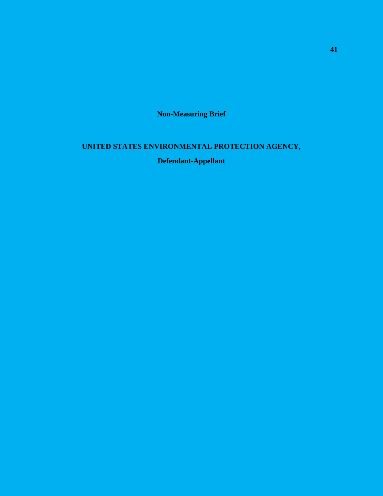**Non-Measuring Brief**

# **UNITED STATES ENVIRONMENTAL PROTECTION AGENCY,**

## **Defendant-Appellant**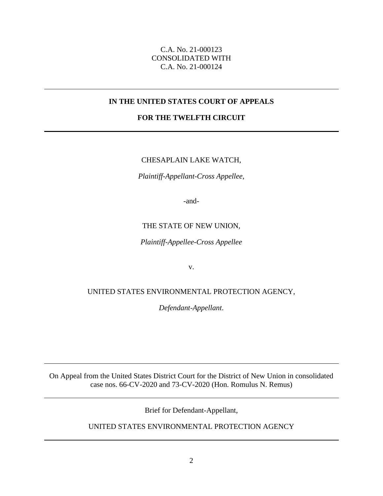## C.A. No. 21-000123 CONSOLIDATED WITH C.A. No. 21-000124

## **IN THE UNITED STATES COURT OF APPEALS**

## **FOR THE TWELFTH CIRCUIT**

### CHESAPLAIN LAKE WATCH,

*Plaintiff-Appellant-Cross Appellee*,

-and-

### THE STATE OF NEW UNION,

*Plaintiff-Appellee-Cross Appellee*

v.

### UNITED STATES ENVIRONMENTAL PROTECTION AGENCY,

*Defendant-Appellant*.

On Appeal from the United States District Court for the District of New Union in consolidated case nos. 66-CV-2020 and 73-CV-2020 (Hon. Romulus N. Remus)

Brief for Defendant-Appellant,

UNITED STATES ENVIRONMENTAL PROTECTION AGENCY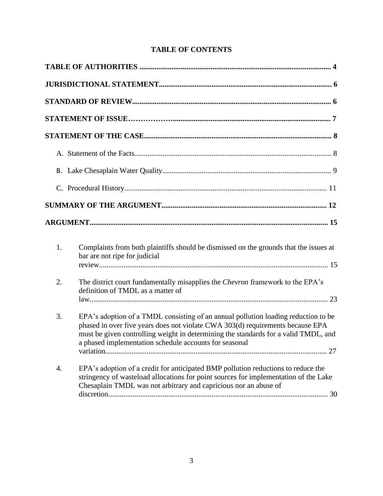|  | <b>TABLE OF CONTENTS</b> |
|--|--------------------------|
|--|--------------------------|

| 1. | Complaints from both plaintiffs should be dismissed on the grounds that the issues at<br>bar are not ripe for judicial                                                                                                                                                                                                |
|----|-----------------------------------------------------------------------------------------------------------------------------------------------------------------------------------------------------------------------------------------------------------------------------------------------------------------------|
| 2. | The district court fundamentally misapplies the <i>Chevron</i> framework to the EPA's<br>definition of TMDL as a matter of                                                                                                                                                                                            |
| 3. | EPA's adoption of a TMDL consisting of an annual pollution loading reduction to be<br>phased in over five years does not violate CWA 303(d) requirements because EPA<br>must be given controlling weight in determining the standards for a valid TMDL, and<br>a phased implementation schedule accounts for seasonal |
| 4. | EPA's adoption of a credit for anticipated BMP pollution reductions to reduce the<br>stringency of wasteload allocations for point sources for implementation of the Lake<br>Chesaplain TMDL was not arbitrary and capricious nor an abuse of                                                                         |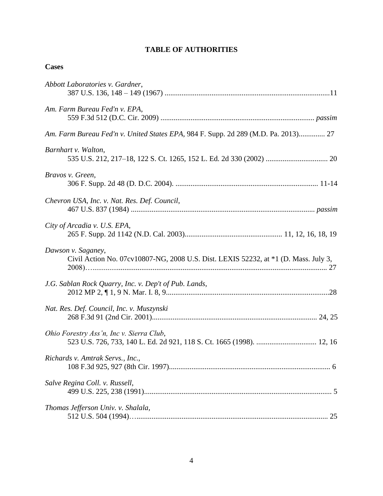## **TABLE OF AUTHORITIES**

| <b>Cases</b>                                                                                              |
|-----------------------------------------------------------------------------------------------------------|
| Abbott Laboratories v. Gardner,                                                                           |
| Am. Farm Bureau Fed'n v. EPA,                                                                             |
| Am. Farm Bureau Fed'n v. United States EPA, 984 F. Supp. 2d 289 (M.D. Pa. 2013) 27                        |
| Barnhart v. Walton,                                                                                       |
| Bravos v. Green,                                                                                          |
| Chevron USA, Inc. v. Nat. Res. Def. Council,                                                              |
| City of Arcadia v. U.S. EPA,                                                                              |
| Dawson v. Saganey,<br>Civil Action No. 07cv10807-NG, 2008 U.S. Dist. LEXIS 52232, at *1 (D. Mass. July 3, |
| J.G. Sablan Rock Quarry, Inc. v. Dep't of Pub. Lands,                                                     |
| Nat. Res. Def. Council, Inc. v. Muszynski                                                                 |
| Ohio Forestry Ass'n, Inc v. Sierra Club,                                                                  |
| Richards v. Amtrak Servs., Inc.,                                                                          |
| Salve Regina Coll. v. Russell,                                                                            |
| Thomas Jefferson Univ. v. Shalala,                                                                        |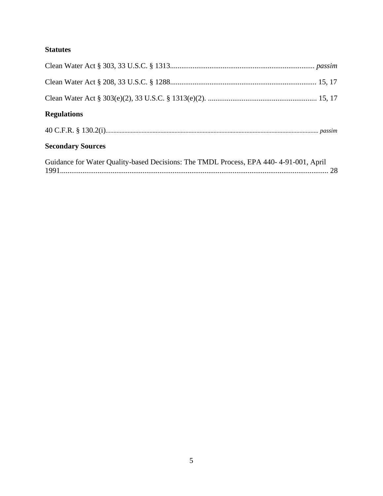## **Statutes**

| <b>Regulations</b>                                                                    |
|---------------------------------------------------------------------------------------|
|                                                                                       |
| <b>Secondary Sources</b>                                                              |
| Guidance for Water Quality-based Decisions: The TMDL Process, EPA 440-4-91-001, April |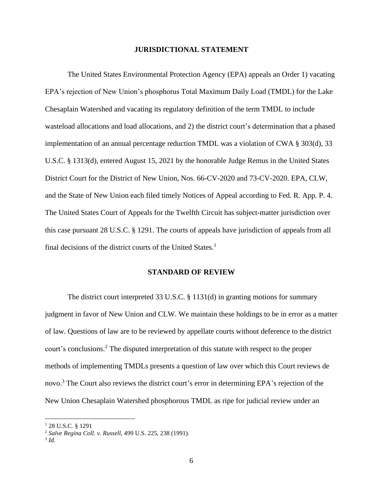#### **JURISDICTIONAL STATEMENT**

The United States Environmental Protection Agency (EPA) appeals an Order 1) vacating EPA's rejection of New Union's phosphorus Total Maximum Daily Load (TMDL) for the Lake Chesaplain Watershed and vacating its regulatory definition of the term TMDL to include wasteload allocations and load allocations, and 2) the district court's determination that a phased implementation of an annual percentage reduction TMDL was a violation of CWA § 303(d), 33 U.S.C. § 1313(d), entered August 15, 2021 by the honorable Judge Remus in the United States District Court for the District of New Union, Nos. 66-CV-2020 and 73-CV-2020. EPA, CLW, and the State of New Union each filed timely Notices of Appeal according to Fed. R. App. P. 4. The United States Court of Appeals for the Twelfth Circuit has subject-matter jurisdiction over this case pursuant 28 U.S.C. § 1291. The courts of appeals have jurisdiction of appeals from all final decisions of the district courts of the United States.<sup>1</sup>

#### **STANDARD OF REVIEW**

The district court interpreted 33 U.S.C. § 1131(d) in granting motions for summary judgment in favor of New Union and CLW. We maintain these holdings to be in error as a matter of law. Questions of law are to be reviewed by appellate courts without deference to the district court's conclusions. <sup>2</sup> The disputed interpretation of this statute with respect to the proper methods of implementing TMDLs presents a question of law over which this Court reviews de novo. <sup>3</sup> The Court also reviews the district court's error in determining EPA's rejection of the New Union Chesaplain Watershed phosphorous TMDL as ripe for judicial review under an

<sup>1</sup> 28 U.S.C. § 1291

<sup>2</sup> *Salve Regina Coll. v. Russell*, 499 U.S. 225, 238 (1991).

<sup>3</sup> *Id.*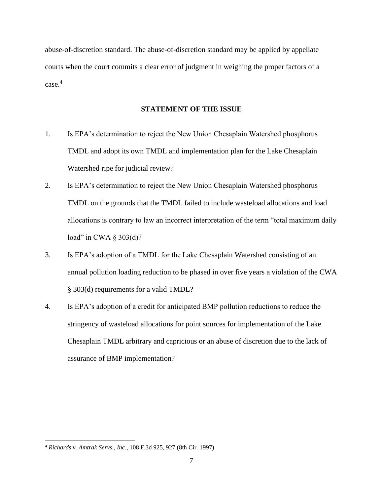abuse-of-discretion standard. The abuse-of-discretion standard may be applied by appellate courts when the court commits a clear error of judgment in weighing the proper factors of a case.<sup>4</sup>

#### **STATEMENT OF THE ISSUE**

- 1. Is EPA's determination to reject the New Union Chesaplain Watershed phosphorus TMDL and adopt its own TMDL and implementation plan for the Lake Chesaplain Watershed ripe for judicial review?
- 2. Is EPA's determination to reject the New Union Chesaplain Watershed phosphorus TMDL on the grounds that the TMDL failed to include wasteload allocations and load allocations is contrary to law an incorrect interpretation of the term "total maximum daily load" in CWA § 303(d)?
- 3. Is EPA's adoption of a TMDL for the Lake Chesaplain Watershed consisting of an annual pollution loading reduction to be phased in over five years a violation of the CWA § 303(d) requirements for a valid TMDL?
- 4. Is EPA's adoption of a credit for anticipated BMP pollution reductions to reduce the stringency of wasteload allocations for point sources for implementation of the Lake Chesaplain TMDL arbitrary and capricious or an abuse of discretion due to the lack of assurance of BMP implementation?

<sup>4</sup> *Richards v. Amtrak Servs., Inc.*, 108 F.3d 925, 927 (8th Cir. 1997)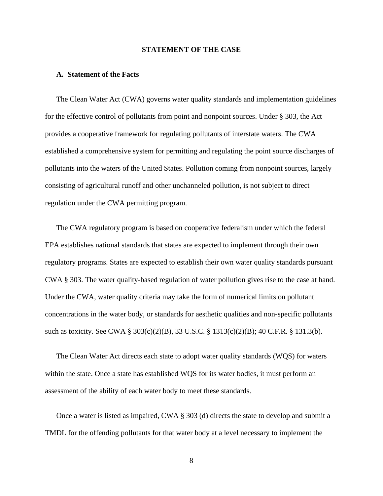#### **STATEMENT OF THE CASE**

#### **A. Statement of the Facts**

The Clean Water Act (CWA) governs water quality standards and implementation guidelines for the effective control of pollutants from point and nonpoint sources. Under § 303, the Act provides a cooperative framework for regulating pollutants of interstate waters. The CWA established a comprehensive system for permitting and regulating the point source discharges of pollutants into the waters of the United States. Pollution coming from nonpoint sources, largely consisting of agricultural runoff and other unchanneled pollution, is not subject to direct regulation under the CWA permitting program.

The CWA regulatory program is based on cooperative federalism under which the federal EPA establishes national standards that states are expected to implement through their own regulatory programs. States are expected to establish their own water quality standards pursuant CWA § 303. The water quality-based regulation of water pollution gives rise to the case at hand. Under the CWA, water quality criteria may take the form of numerical limits on pollutant concentrations in the water body, or standards for aesthetic qualities and non-specific pollutants such as toxicity. See CWA § 303(c)(2)(B), 33 U.S.C. § 1313(c)(2)(B); 40 C.F.R. § 131.3(b).

The Clean Water Act directs each state to adopt water quality standards (WQS) for waters within the state. Once a state has established WQS for its water bodies, it must perform an assessment of the ability of each water body to meet these standards.

Once a water is listed as impaired, CWA § 303 (d) directs the state to develop and submit a TMDL for the offending pollutants for that water body at a level necessary to implement the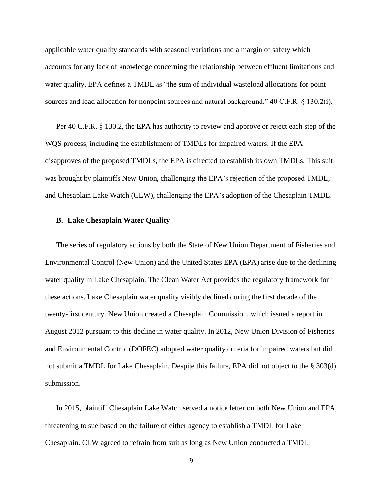applicable water quality standards with seasonal variations and a margin of safety which accounts for any lack of knowledge concerning the relationship between effluent limitations and water quality. EPA defines a TMDL as "the sum of individual wasteload allocations for point sources and load allocation for nonpoint sources and natural background." 40 C.F.R. § 130.2(i).

Per 40 C.F.R. § 130.2, the EPA has authority to review and approve or reject each step of the WQS process, including the establishment of TMDLs for impaired waters. If the EPA disapproves of the proposed TMDLs, the EPA is directed to establish its own TMDLs. This suit was brought by plaintiffs New Union, challenging the EPA's rejection of the proposed TMDL, and Chesaplain Lake Watch (CLW), challenging the EPA's adoption of the Chesaplain TMDL.

#### **B. Lake Chesaplain Water Quality**

The series of regulatory actions by both the State of New Union Department of Fisheries and Environmental Control (New Union) and the United States EPA (EPA) arise due to the declining water quality in Lake Chesaplain. The Clean Water Act provides the regulatory framework for these actions. Lake Chesaplain water quality visibly declined during the first decade of the twenty-first century. New Union created a Chesaplain Commission, which issued a report in August 2012 pursuant to this decline in water quality. In 2012, New Union Division of Fisheries and Environmental Control (DOFEC) adopted water quality criteria for impaired waters but did not submit a TMDL for Lake Chesaplain. Despite this failure, EPA did not object to the § 303(d) submission.

In 2015, plaintiff Chesaplain Lake Watch served a notice letter on both New Union and EPA, threatening to sue based on the failure of either agency to establish a TMDL for Lake Chesaplain. CLW agreed to refrain from suit as long as New Union conducted a TMDL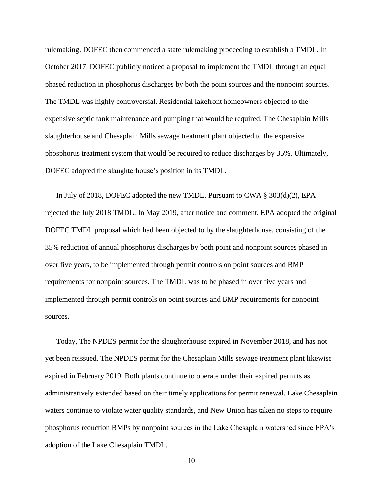rulemaking. DOFEC then commenced a state rulemaking proceeding to establish a TMDL. In October 2017, DOFEC publicly noticed a proposal to implement the TMDL through an equal phased reduction in phosphorus discharges by both the point sources and the nonpoint sources. The TMDL was highly controversial. Residential lakefront homeowners objected to the expensive septic tank maintenance and pumping that would be required. The Chesaplain Mills slaughterhouse and Chesaplain Mills sewage treatment plant objected to the expensive phosphorus treatment system that would be required to reduce discharges by 35%. Ultimately, DOFEC adopted the slaughterhouse's position in its TMDL.

In July of 2018, DOFEC adopted the new TMDL. Pursuant to CWA § 303(d)(2), EPA rejected the July 2018 TMDL. In May 2019, after notice and comment, EPA adopted the original DOFEC TMDL proposal which had been objected to by the slaughterhouse, consisting of the 35% reduction of annual phosphorus discharges by both point and nonpoint sources phased in over five years, to be implemented through permit controls on point sources and BMP requirements for nonpoint sources. The TMDL was to be phased in over five years and implemented through permit controls on point sources and BMP requirements for nonpoint sources.

Today, The NPDES permit for the slaughterhouse expired in November 2018, and has not yet been reissued. The NPDES permit for the Chesaplain Mills sewage treatment plant likewise expired in February 2019. Both plants continue to operate under their expired permits as administratively extended based on their timely applications for permit renewal. Lake Chesaplain waters continue to violate water quality standards, and New Union has taken no steps to require phosphorus reduction BMPs by nonpoint sources in the Lake Chesaplain watershed since EPA's adoption of the Lake Chesaplain TMDL.

10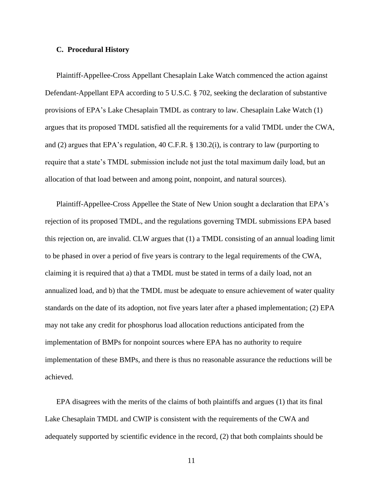#### **C. Procedural History**

Plaintiff-Appellee-Cross Appellant Chesaplain Lake Watch commenced the action against Defendant-Appellant EPA according to 5 U.S.C. § 702, seeking the declaration of substantive provisions of EPA's Lake Chesaplain TMDL as contrary to law. Chesaplain Lake Watch (1) argues that its proposed TMDL satisfied all the requirements for a valid TMDL under the CWA, and (2) argues that EPA's regulation, 40 C.F.R. § 130.2(i), is contrary to law (purporting to require that a state's TMDL submission include not just the total maximum daily load, but an allocation of that load between and among point, nonpoint, and natural sources).

Plaintiff-Appellee-Cross Appellee the State of New Union sought a declaration that EPA's rejection of its proposed TMDL, and the regulations governing TMDL submissions EPA based this rejection on, are invalid. CLW argues that (1) a TMDL consisting of an annual loading limit to be phased in over a period of five years is contrary to the legal requirements of the CWA, claiming it is required that a) that a TMDL must be stated in terms of a daily load, not an annualized load, and b) that the TMDL must be adequate to ensure achievement of water quality standards on the date of its adoption, not five years later after a phased implementation; (2) EPA may not take any credit for phosphorus load allocation reductions anticipated from the implementation of BMPs for nonpoint sources where EPA has no authority to require implementation of these BMPs, and there is thus no reasonable assurance the reductions will be achieved.

EPA disagrees with the merits of the claims of both plaintiffs and argues (1) that its final Lake Chesaplain TMDL and CWIP is consistent with the requirements of the CWA and adequately supported by scientific evidence in the record, (2) that both complaints should be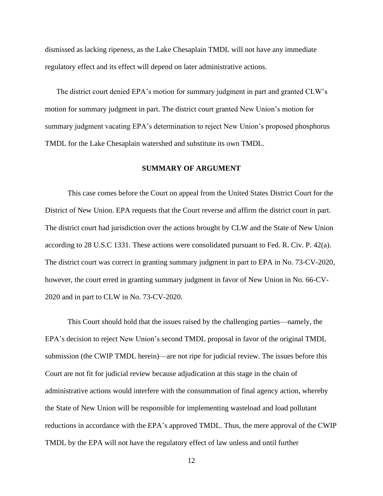dismissed as lacking ripeness, as the Lake Chesaplain TMDL will not have any immediate regulatory effect and its effect will depend on later administrative actions.

The district court denied EPA's motion for summary judgment in part and granted CLW's motion for summary judgment in part. The district court granted New Union's motion for summary judgment vacating EPA's determination to reject New Union's proposed phosphorus TMDL for the Lake Chesaplain watershed and substitute its own TMDL.

#### **SUMMARY OF ARGUMENT**

This case comes before the Court on appeal from the United States District Court for the District of New Union. EPA requests that the Court reverse and affirm the district court in part. The district court had jurisdiction over the actions brought by CLW and the State of New Union according to 28 U.S.C 1331. These actions were consolidated pursuant to Fed. R. Civ. P. 42(a). The district court was correct in granting summary judgment in part to EPA in No. 73-CV-2020, however, the court erred in granting summary judgment in favor of New Union in No. 66-CV-2020 and in part to CLW in No. 73-CV-2020.

This Court should hold that the issues raised by the challenging parties—namely, the EPA's decision to reject New Union's second TMDL proposal in favor of the original TMDL submission (the CWIP TMDL herein)—are not ripe for judicial review. The issues before this Court are not fit for judicial review because adjudication at this stage in the chain of administrative actions would interfere with the consummation of final agency action, whereby the State of New Union will be responsible for implementing wasteload and load pollutant reductions in accordance with the EPA's approved TMDL. Thus, the mere approval of the CWIP TMDL by the EPA will not have the regulatory effect of law unless and until further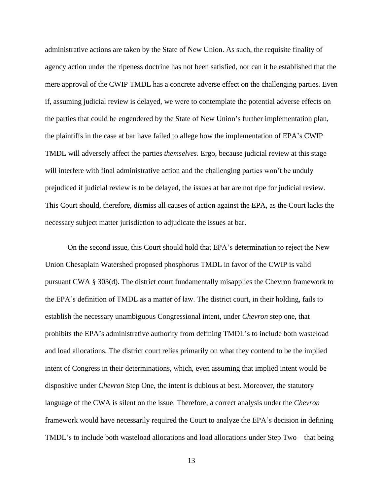administrative actions are taken by the State of New Union. As such, the requisite finality of agency action under the ripeness doctrine has not been satisfied, nor can it be established that the mere approval of the CWIP TMDL has a concrete adverse effect on the challenging parties. Even if, assuming judicial review is delayed, we were to contemplate the potential adverse effects on the parties that could be engendered by the State of New Union's further implementation plan, the plaintiffs in the case at bar have failed to allege how the implementation of EPA's CWIP TMDL will adversely affect the parties *themselves*. Ergo, because judicial review at this stage will interfere with final administrative action and the challenging parties won't be unduly prejudiced if judicial review is to be delayed, the issues at bar are not ripe for judicial review. This Court should, therefore, dismiss all causes of action against the EPA, as the Court lacks the necessary subject matter jurisdiction to adjudicate the issues at bar.

On the second issue, this Court should hold that EPA's determination to reject the New Union Chesaplain Watershed proposed phosphorus TMDL in favor of the CWIP is valid pursuant CWA § 303(d). The district court fundamentally misapplies the Chevron framework to the EPA's definition of TMDL as a matter of law. The district court, in their holding, fails to establish the necessary unambiguous Congressional intent, under *Chevron* step one, that prohibits the EPA's administrative authority from defining TMDL's to include both wasteload and load allocations. The district court relies primarily on what they contend to be the implied intent of Congress in their determinations, which, even assuming that implied intent would be dispositive under *Chevron* Step One, the intent is dubious at best. Moreover, the statutory language of the CWA is silent on the issue. Therefore, a correct analysis under the *Chevron* framework would have necessarily required the Court to analyze the EPA's decision in defining TMDL's to include both wasteload allocations and load allocations under Step Two—that being

13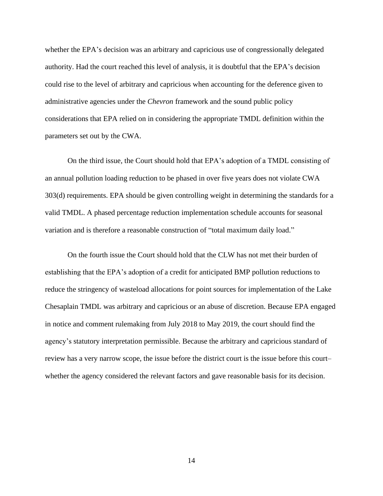whether the EPA's decision was an arbitrary and capricious use of congressionally delegated authority. Had the court reached this level of analysis, it is doubtful that the EPA's decision could rise to the level of arbitrary and capricious when accounting for the deference given to administrative agencies under the *Chevron* framework and the sound public policy considerations that EPA relied on in considering the appropriate TMDL definition within the parameters set out by the CWA.

On the third issue, the Court should hold that EPA's adoption of a TMDL consisting of an annual pollution loading reduction to be phased in over five years does not violate CWA 303(d) requirements. EPA should be given controlling weight in determining the standards for a valid TMDL. A phased percentage reduction implementation schedule accounts for seasonal variation and is therefore a reasonable construction of "total maximum daily load."

On the fourth issue the Court should hold that the CLW has not met their burden of establishing that the EPA's adoption of a credit for anticipated BMP pollution reductions to reduce the stringency of wasteload allocations for point sources for implementation of the Lake Chesaplain TMDL was arbitrary and capricious or an abuse of discretion. Because EPA engaged in notice and comment rulemaking from July 2018 to May 2019, the court should find the agency's statutory interpretation permissible. Because the arbitrary and capricious standard of review has a very narrow scope, the issue before the district court is the issue before this court– whether the agency considered the relevant factors and gave reasonable basis for its decision.

14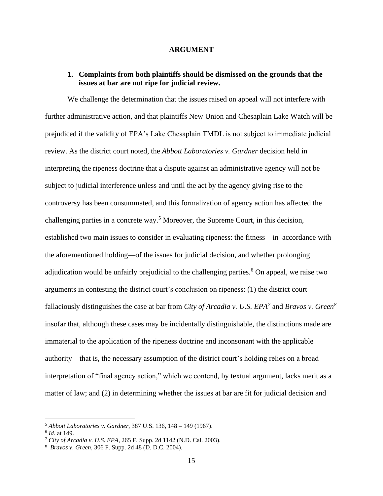#### **ARGUMENT**

#### **1. Complaints from both plaintiffs should be dismissed on the grounds that the issues at bar are not ripe for judicial review.**

We challenge the determination that the issues raised on appeal will not interfere with further administrative action, and that plaintiffs New Union and Chesaplain Lake Watch will be prejudiced if the validity of EPA's Lake Chesaplain TMDL is not subject to immediate judicial review. As the district court noted, the *Abbott Laboratories v. Gardner* decision held in interpreting the ripeness doctrine that a dispute against an administrative agency will not be subject to judicial interference unless and until the act by the agency giving rise to the controversy has been consummated, and this formalization of agency action has affected the challenging parties in a concrete way.<sup>5</sup> Moreover, the Supreme Court, in this decision, established two main issues to consider in evaluating ripeness: the fitness—in accordance with the aforementioned holding—of the issues for judicial decision, and whether prolonging adjudication would be unfairly prejudicial to the challenging parties.<sup>6</sup> On appeal, we raise two arguments in contesting the district court's conclusion on ripeness: (1) the district court fallaciously distinguishes the case at bar from *City of Arcadia v. U.S. EPA<sup>7</sup>* and *Bravos v. Green<sup>8</sup>* insofar that, although these cases may be incidentally distinguishable, the distinctions made are immaterial to the application of the ripeness doctrine and inconsonant with the applicable authority—that is, the necessary assumption of the district court's holding relies on a broad interpretation of "final agency action," which we contend, by textual argument, lacks merit as a matter of law; and (2) in determining whether the issues at bar are fit for judicial decision and

<sup>5</sup> *Abbott Laboratories v. Gardner*, 387 U.S. 136, 148 – 149 (1967).

<sup>6</sup> *Id.* at 149.

<sup>7</sup> *City of Arcadia v. U.S. EPA*, 265 F. Supp. 2d 1142 (N.D. Cal. 2003).

<sup>8</sup> *Bravos v. Green*, 306 F. Supp. 2d 48 (D. D.C. 2004).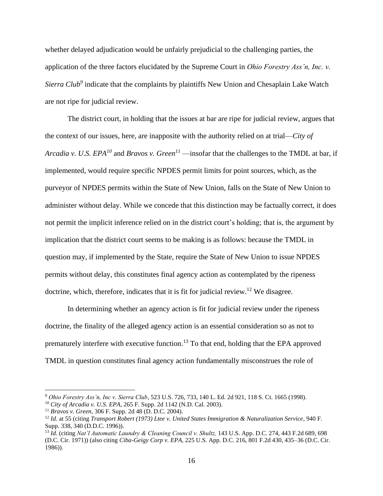whether delayed adjudication would be unfairly prejudicial to the challenging parties, the application of the three factors elucidated by the Supreme Court in *Ohio Forestry Ass'n, Inc. v. Sierra Club<sup>9</sup>* indicate that the complaints by plaintiffs New Union and Chesaplain Lake Watch are not ripe for judicial review.

The district court, in holding that the issues at bar are ripe for judicial review, argues that the context of our issues, here, are inapposite with the authority relied on at trial—*City of Arcadia v. U.S. EPA<sup>10</sup>* and *Bravos v. Green<sup>11</sup>* —insofar that the challenges to the TMDL at bar, if implemented, would require specific NPDES permit limits for point sources, which, as the purveyor of NPDES permits within the State of New Union, falls on the State of New Union to administer without delay. While we concede that this distinction may be factually correct, it does not permit the implicit inference relied on in the district court's holding; that is, the argument by implication that the district court seems to be making is as follows: because the TMDL in question may, if implemented by the State, require the State of New Union to issue NPDES permits without delay, this constitutes final agency action as contemplated by the ripeness doctrine, which, therefore, indicates that it is fit for judicial review.<sup>12</sup> We disagree.

In determining whether an agency action is fit for judicial review under the ripeness doctrine, the finality of the alleged agency action is an essential consideration so as not to prematurely interfere with executive function.<sup>13</sup> To that end, holding that the EPA approved TMDL in question constitutes final agency action fundamentally misconstrues the role of

<sup>9</sup> *Ohio Forestry Ass'n, Inc v. Sierra Club*, 523 U.S. 726, 733, 140 L. Ed. 2d 921, 118 S. Ct. 1665 (1998).

<sup>10</sup> *City of Arcadia v. U.S. EPA*, 265 F. Supp. 2d 1142 (N.D. Cal. 2003).

<sup>11</sup> *Bravos v. Green*, 306 F. Supp. 2d 48 (D. D.C. 2004).

<sup>12</sup> *Id.* at 55 (citing *Transport Robert (1973) Ltee v. United States Immigration & Naturalization Service*, 940 F. Supp. 338, 340 (D.D.C. 1996)).

<sup>13</sup> *Id.* (citing *Nat'l Automatic Laundry & Cleaning Council v. Shultz,* 143 U.S. App. D.C. 274, 443 F.2d 689, 698 (D.C. Cir. 1971)) (also citing *Ciba-Geigy Corp v. EPA*, 225 U.S. App. D.C. 216, 801 F.2d 430, 435–36 (D.C. Cir. 1986)).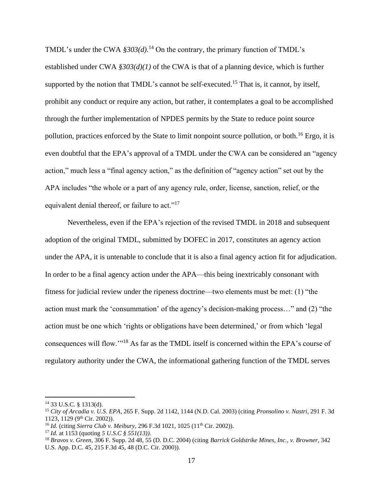TMDL's under the CWA  $$303(d)$ .<sup>14</sup> On the contrary, the primary function of TMDL's established under CWA *§303(d)(1)* of the CWA is that of a planning device, which is further supported by the notion that TMDL's cannot be self-executed.<sup>15</sup> That is, it cannot, by itself, prohibit any conduct or require any action, but rather, it contemplates a goal to be accomplished through the further implementation of NPDES permits by the State to reduce point source pollution, practices enforced by the State to limit nonpoint source pollution, or both.<sup>16</sup> Ergo, it is even doubtful that the EPA's approval of a TMDL under the CWA can be considered an "agency action," much less a "final agency action," as the definition of "agency action" set out by the APA includes "the whole or a part of any agency rule, order, license, sanction, relief, or the equivalent denial thereof, or failure to act."<sup>17</sup>

Nevertheless, even if the EPA's rejection of the revised TMDL in 2018 and subsequent adoption of the original TMDL, submitted by DOFEC in 2017, constitutes an agency action under the APA, it is untenable to conclude that it is also a final agency action fit for adjudication. In order to be a final agency action under the APA—this being inextricably consonant with fitness for judicial review under the ripeness doctrine—two elements must be met: (1) "the action must mark the 'consummation' of the agency's decision-making process…" and (2) "the action must be one which 'rights or obligations have been determined,' or from which 'legal consequences will flow.'"<sup>18</sup> As far as the TMDL itself is concerned within the EPA's course of regulatory authority under the CWA, the informational gathering function of the TMDL serves

<sup>14</sup> 33 U.S.C. § 1313(d).

<sup>15</sup> *City of Arcadia v. U.S. EPA*, 265 F. Supp. 2d 1142, 1144 (N.D. Cal. 2003) (citing *Pronsolino v. Nastri*, 291 F. 3d 1123, 1129 (9<sup>th</sup> Cir. 2002)).

<sup>&</sup>lt;sup>16</sup> *Id.* (citing *Sierra Club v. Meibury,* 296 F.3d 1021, 1025 (11<sup>th</sup> Cir. 2002)).

<sup>17</sup> *Id.* at 1153 (quoting *5 U.S.C § 551(13))*.

<sup>18</sup> *Bravos v. Green*, 306 F. Supp. 2d 48, 55 (D. D.C. 2004) (citing *Barrick Goldstrike Mines, Inc., v. Browner*, 342 U.S. App. D.C. 45, 215 F.3d 45, 48 (D.C. Cir. 2000)).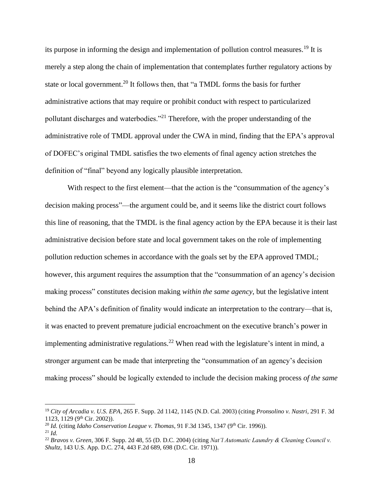its purpose in informing the design and implementation of pollution control measures.<sup>19</sup> It is merely a step along the chain of implementation that contemplates further regulatory actions by state or local government.<sup>20</sup> It follows then, that "a TMDL forms the basis for further administrative actions that may require or prohibit conduct with respect to particularized pollutant discharges and waterbodies."<sup>21</sup> Therefore, with the proper understanding of the administrative role of TMDL approval under the CWA in mind, finding that the EPA's approval of DOFEC's original TMDL satisfies the two elements of final agency action stretches the definition of "final" beyond any logically plausible interpretation.

With respect to the first element—that the action is the "consummation of the agency's decision making process"—the argument could be, and it seems like the district court follows this line of reasoning, that the TMDL is the final agency action by the EPA because it is their last administrative decision before state and local government takes on the role of implementing pollution reduction schemes in accordance with the goals set by the EPA approved TMDL; however, this argument requires the assumption that the "consummation of an agency's decision making process" constitutes decision making *within the same agency*, but the legislative intent behind the APA's definition of finality would indicate an interpretation to the contrary—that is, it was enacted to prevent premature judicial encroachment on the executive branch's power in implementing administrative regulations.<sup>22</sup> When read with the legislature's intent in mind, a stronger argument can be made that interpreting the "consummation of an agency's decision making process" should be logically extended to include the decision making process *of the same* 

<sup>19</sup> *City of Arcadia v. U.S. EPA*, 265 F. Supp. 2d 1142, 1145 (N.D. Cal. 2003) (citing *Pronsolino v. Nastri*, 291 F. 3d 1123, 1129 (9<sup>th</sup> Cir. 2002)).

<sup>&</sup>lt;sup>20</sup> *Id.* (citing *Idaho Conservation League v. Thomas*, 91 F.3d 1345, 1347 (9<sup>th</sup> Cir. 1996)).

<sup>21</sup> *Id.*

<sup>22</sup> *Bravos v. Green*, 306 F. Supp. 2d 48, 55 (D. D.C. 2004) (citing *Nat'l Automatic Laundry & Cleaning Council v. Shultz,* 143 U.S. App. D.C. 274, 443 F.2d 689, 698 (D.C. Cir. 1971)).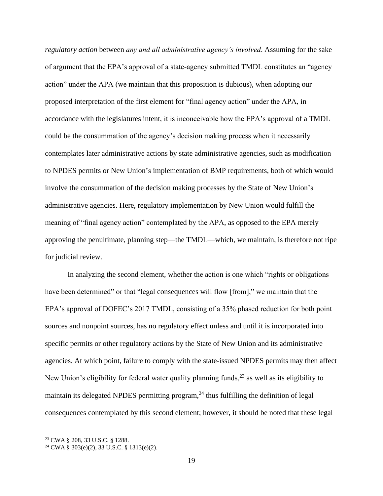*regulatory action* between *any and all administrative agency's involved*. Assuming for the sake of argument that the EPA's approval of a state-agency submitted TMDL constitutes an "agency action" under the APA (we maintain that this proposition is dubious), when adopting our proposed interpretation of the first element for "final agency action" under the APA, in accordance with the legislatures intent, it is inconceivable how the EPA's approval of a TMDL could be the consummation of the agency's decision making process when it necessarily contemplates later administrative actions by state administrative agencies, such as modification to NPDES permits or New Union's implementation of BMP requirements, both of which would involve the consummation of the decision making processes by the State of New Union's administrative agencies. Here, regulatory implementation by New Union would fulfill the meaning of "final agency action" contemplated by the APA, as opposed to the EPA merely approving the penultimate, planning step—the TMDL—which, we maintain, is therefore not ripe for judicial review.

In analyzing the second element, whether the action is one which "rights or obligations have been determined" or that "legal consequences will flow [from]," we maintain that the EPA's approval of DOFEC's 2017 TMDL, consisting of a 35% phased reduction for both point sources and nonpoint sources, has no regulatory effect unless and until it is incorporated into specific permits or other regulatory actions by the State of New Union and its administrative agencies. At which point, failure to comply with the state-issued NPDES permits may then affect New Union's eligibility for federal water quality planning funds,  $2<sup>3</sup>$  as well as its eligibility to maintain its delegated NPDES permitting program,<sup>24</sup> thus fulfilling the definition of legal consequences contemplated by this second element; however, it should be noted that these legal

<sup>23</sup> CWA § 208, 33 U.S.C. § 1288.

<sup>24</sup> CWA § 303(e)(2), 33 U.S.C. § 1313(e)(2).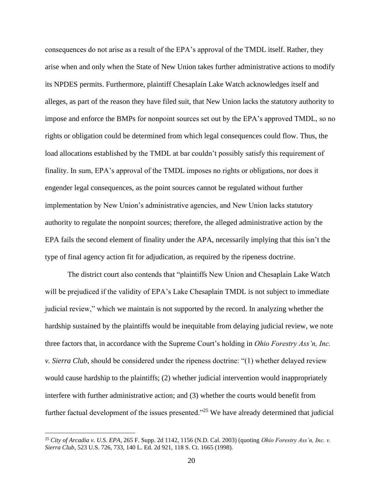consequences do not arise as a result of the EPA's approval of the TMDL itself. Rather, they arise when and only when the State of New Union takes further administrative actions to modify its NPDES permits. Furthermore, plaintiff Chesaplain Lake Watch acknowledges itself and alleges, as part of the reason they have filed suit, that New Union lacks the statutory authority to impose and enforce the BMPs for nonpoint sources set out by the EPA's approved TMDL, so no rights or obligation could be determined from which legal consequences could flow. Thus, the load allocations established by the TMDL at bar couldn't possibly satisfy this requirement of finality. In sum, EPA's approval of the TMDL imposes no rights or obligations, nor does it engender legal consequences, as the point sources cannot be regulated without further implementation by New Union's administrative agencies, and New Union lacks statutory authority to regulate the nonpoint sources; therefore, the alleged administrative action by the EPA fails the second element of finality under the APA, necessarily implying that this isn't the type of final agency action fit for adjudication, as required by the ripeness doctrine.

The district court also contends that "plaintiffs New Union and Chesaplain Lake Watch will be prejudiced if the validity of EPA's Lake Chesaplain TMDL is not subject to immediate judicial review," which we maintain is not supported by the record. In analyzing whether the hardship sustained by the plaintiffs would be inequitable from delaying judicial review, we note three factors that, in accordance with the Supreme Court's holding in *Ohio Forestry Ass'n, Inc. v. Sierra Club*, should be considered under the ripeness doctrine: "(1) whether delayed review would cause hardship to the plaintiffs; (2) whether judicial intervention would inappropriately interfere with further administrative action; and (3) whether the courts would benefit from further factual development of the issues presented."<sup>25</sup> We have already determined that judicial

<sup>25</sup> *City of Arcadia v. U.S. EPA*, 265 F. Supp. 2d 1142, 1156 (N.D. Cal. 2003) (quoting *Ohio Forestry Ass'n, Inc. v. Sierra Club*, 523 U.S. 726, 733, 140 L. Ed. 2d 921, 118 S. Ct. 1665 (1998).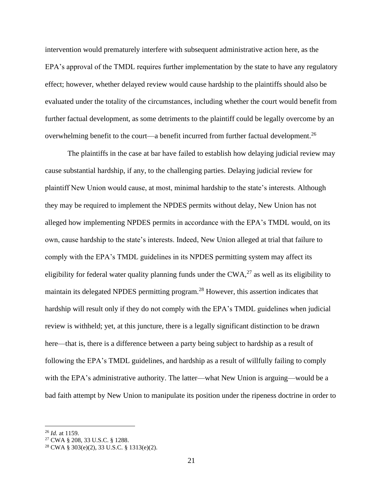intervention would prematurely interfere with subsequent administrative action here, as the EPA's approval of the TMDL requires further implementation by the state to have any regulatory effect; however, whether delayed review would cause hardship to the plaintiffs should also be evaluated under the totality of the circumstances, including whether the court would benefit from further factual development, as some detriments to the plaintiff could be legally overcome by an overwhelming benefit to the court—a benefit incurred from further factual development.<sup>26</sup>

The plaintiffs in the case at bar have failed to establish how delaying judicial review may cause substantial hardship, if any, to the challenging parties. Delaying judicial review for plaintiff New Union would cause, at most, minimal hardship to the state's interests. Although they may be required to implement the NPDES permits without delay, New Union has not alleged how implementing NPDES permits in accordance with the EPA's TMDL would, on its own, cause hardship to the state's interests. Indeed, New Union alleged at trial that failure to comply with the EPA's TMDL guidelines in its NPDES permitting system may affect its eligibility for federal water quality planning funds under the  $CWA$ <sup> $27$ </sup> as well as its eligibility to maintain its delegated NPDES permitting program.<sup>28</sup> However, this assertion indicates that hardship will result only if they do not comply with the EPA's TMDL guidelines when judicial review is withheld; yet, at this juncture, there is a legally significant distinction to be drawn here—that is, there is a difference between a party being subject to hardship as a result of following the EPA's TMDL guidelines, and hardship as a result of willfully failing to comply with the EPA's administrative authority. The latter—what New Union is arguing—would be a bad faith attempt by New Union to manipulate its position under the ripeness doctrine in order to

<sup>26</sup> *Id.* at 1159.

<sup>27</sup> CWA § 208, 33 U.S.C. § 1288.

 $28 \text{ CWA }$ § 303(e)(2), 33 U.S.C. § 1313(e)(2).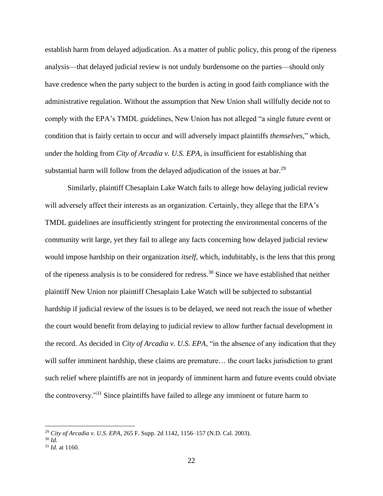establish harm from delayed adjudication. As a matter of public policy, this prong of the ripeness analysis—that delayed judicial review is not unduly burdensome on the parties—should only have credence when the party subject to the burden is acting in good faith compliance with the administrative regulation. Without the assumption that New Union shall willfully decide not to comply with the EPA's TMDL guidelines, New Union has not alleged "a single future event or condition that is fairly certain to occur and will adversely impact plaintiffs *themselves*," which, under the holding from *City of Arcadia v. U.S. EPA*, is insufficient for establishing that substantial harm will follow from the delayed adjudication of the issues at bar.<sup>29</sup>

Similarly, plaintiff Chesaplain Lake Watch fails to allege how delaying judicial review will adversely affect their interests as an organization. Certainly, they allege that the EPA's TMDL guidelines are insufficiently stringent for protecting the environmental concerns of the community writ large, yet they fail to allege any facts concerning how delayed judicial review would impose hardship on their organization *itself*, which, indubitably, is the lens that this prong of the ripeness analysis is to be considered for redress.<sup>30</sup> Since we have established that neither plaintiff New Union nor plaintiff Chesaplain Lake Watch will be subjected to substantial hardship if judicial review of the issues is to be delayed, we need not reach the issue of whether the court would benefit from delaying to judicial review to allow further factual development in the record. As decided in *City of Arcadia v. U.S. EPA*, "in the absence of any indication that they will suffer imminent hardship, these claims are premature... the court lacks jurisdiction to grant such relief where plaintiffs are not in jeopardy of imminent harm and future events could obviate the controversy."<sup>31</sup> Since plaintiffs have failed to allege any imminent or future harm to

<sup>29</sup> *City of Arcadia v. U.S. EPA*, 265 F. Supp. 2d 1142, 1156–157 (N.D. Cal. 2003).

<sup>30</sup> *Id.*

<sup>31</sup> *Id.* at 1160.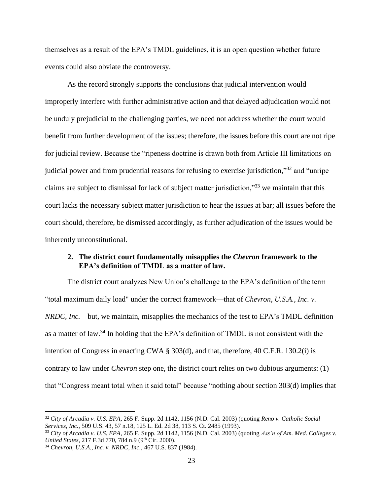themselves as a result of the EPA's TMDL guidelines, it is an open question whether future events could also obviate the controversy.

As the record strongly supports the conclusions that judicial intervention would improperly interfere with further administrative action and that delayed adjudication would not be unduly prejudicial to the challenging parties, we need not address whether the court would benefit from further development of the issues; therefore, the issues before this court are not ripe for judicial review. Because the "ripeness doctrine is drawn both from Article III limitations on judicial power and from prudential reasons for refusing to exercise jurisdiction,"<sup>32</sup> and "unripe claims are subject to dismissal for lack of subject matter jurisdiction,"<sup>33</sup> we maintain that this court lacks the necessary subject matter jurisdiction to hear the issues at bar; all issues before the court should, therefore, be dismissed accordingly, as further adjudication of the issues would be inherently unconstitutional.

#### **2. The district court fundamentally misapplies the** *Chevron* **framework to the EPA's definition of TMDL as a matter of law.**

The district court analyzes New Union's challenge to the EPA's definition of the term "total maximum daily load" under the correct framework—that of *Chevron, U.S.A., Inc. v. NRDC, Inc.*—but, we maintain, misapplies the mechanics of the test to EPA's TMDL definition as a matter of law.<sup>34</sup> In holding that the EPA's definition of TMDL is not consistent with the intention of Congress in enacting CWA § 303(d), and that, therefore, 40 C.F.R. 130.2(i) is contrary to law under *Chevron* step one, the district court relies on two dubious arguments: (1) that "Congress meant total when it said total" because "nothing about section 303(d) implies that

<sup>32</sup> *City of Arcadia v. U.S. EPA*, 265 F. Supp. 2d 1142, 1156 (N.D. Cal. 2003) (quoting *Reno v. Catholic Social Services, Inc.*, 509 U.S. 43, 57 n.18, 125 L. Ed. 2d 38, 113 S. Ct. 2485 (1993).

<sup>33</sup> *City of Arcadia v. U.S. EPA*, 265 F. Supp. 2d 1142, 1156 (N.D. Cal. 2003) (quoting *Ass'n of Am. Med. Colleges v.*  United States, 217 F.3d 770, 784 n.9 (9<sup>th</sup> Cir. 2000).

<sup>34</sup> *Chevron, U.S.A., Inc. v. NRDC, Inc.,* 467 U.S. 837 (1984).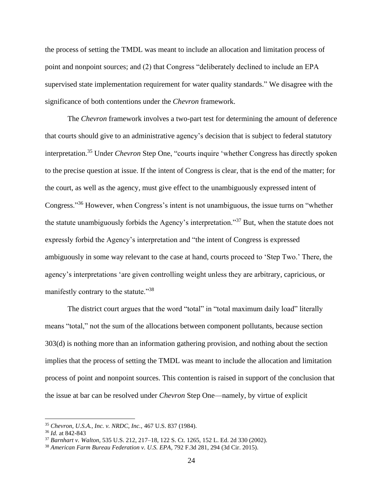the process of setting the TMDL was meant to include an allocation and limitation process of point and nonpoint sources; and (2) that Congress "deliberately declined to include an EPA supervised state implementation requirement for water quality standards." We disagree with the significance of both contentions under the *Chevron* framework.

The *Chevron* framework involves a two-part test for determining the amount of deference that courts should give to an administrative agency's decision that is subject to federal statutory interpretation.<sup>35</sup> Under *Chevron* Step One, "courts inquire 'whether Congress has directly spoken to the precise question at issue. If the intent of Congress is clear, that is the end of the matter; for the court, as well as the agency, must give effect to the unambiguously expressed intent of Congress."<sup>36</sup> However, when Congress's intent is not unambiguous, the issue turns on "whether the statute unambiguously forbids the Agency's interpretation."<sup>37</sup> But, when the statute does not expressly forbid the Agency's interpretation and "the intent of Congress is expressed ambiguously in some way relevant to the case at hand, courts proceed to 'Step Two.' There, the agency's interpretations 'are given controlling weight unless they are arbitrary, capricious, or manifestly contrary to the statute."<sup>38</sup>

The district court argues that the word "total" in "total maximum daily load" literally means "total," not the sum of the allocations between component pollutants, because section 303(d) is nothing more than an information gathering provision, and nothing about the section implies that the process of setting the TMDL was meant to include the allocation and limitation process of point and nonpoint sources. This contention is raised in support of the conclusion that the issue at bar can be resolved under *Chevron* Step One—namely, by virtue of explicit

<sup>35</sup> *Chevron, U.S.A., Inc. v. NRDC, Inc.,* 467 U.S. 837 (1984).

<sup>36</sup> *Id.* at 842-843

<sup>37</sup> *Barnhart v. Walton*, 535 U.S. 212, 217–18, 122 S. Ct. 1265, 152 L. Ed. 2d 330 (2002).

<sup>38</sup> *American Farm Bureau Federation v. U.S. EPA*, 792 F.3d 281, 294 (3d Cir. 2015).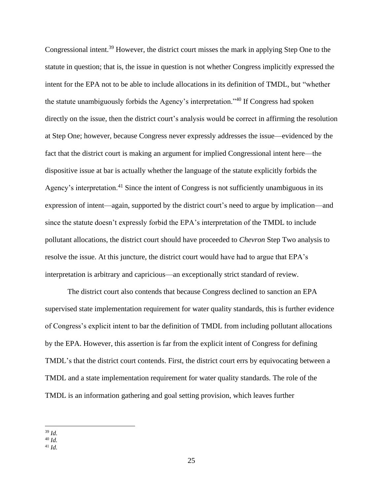Congressional intent.<sup>39</sup> However, the district court misses the mark in applying Step One to the statute in question; that is, the issue in question is not whether Congress implicitly expressed the intent for the EPA not to be able to include allocations in its definition of TMDL, but "whether the statute unambiguously forbids the Agency's interpretation."<sup>40</sup> If Congress had spoken directly on the issue, then the district court's analysis would be correct in affirming the resolution at Step One; however, because Congress never expressly addresses the issue—evidenced by the fact that the district court is making an argument for implied Congressional intent here—the dispositive issue at bar is actually whether the language of the statute explicitly forbids the Agency's interpretation.<sup>41</sup> Since the intent of Congress is not sufficiently unambiguous in its expression of intent—again, supported by the district court's need to argue by implication—and since the statute doesn't expressly forbid the EPA's interpretation of the TMDL to include pollutant allocations, the district court should have proceeded to *Chevron* Step Two analysis to resolve the issue. At this juncture, the district court would have had to argue that EPA's interpretation is arbitrary and capricious—an exceptionally strict standard of review.

The district court also contends that because Congress declined to sanction an EPA supervised state implementation requirement for water quality standards, this is further evidence of Congress's explicit intent to bar the definition of TMDL from including pollutant allocations by the EPA. However, this assertion is far from the explicit intent of Congress for defining TMDL's that the district court contends. First, the district court errs by equivocating between a TMDL and a state implementation requirement for water quality standards. The role of the TMDL is an information gathering and goal setting provision, which leaves further

<sup>41</sup> *Id.*

<sup>39</sup> *Id.*

<sup>40</sup> *Id.*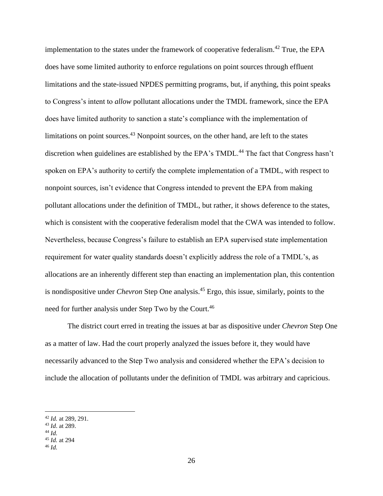implementation to the states under the framework of cooperative federalism.<sup>42</sup> True, the EPA does have some limited authority to enforce regulations on point sources through effluent limitations and the state-issued NPDES permitting programs, but, if anything, this point speaks to Congress's intent to *allow* pollutant allocations under the TMDL framework, since the EPA does have limited authority to sanction a state's compliance with the implementation of limitations on point sources. $43$  Nonpoint sources, on the other hand, are left to the states discretion when guidelines are established by the EPA's TMDL.<sup>44</sup> The fact that Congress hasn't spoken on EPA's authority to certify the complete implementation of a TMDL, with respect to nonpoint sources, isn't evidence that Congress intended to prevent the EPA from making pollutant allocations under the definition of TMDL, but rather, it shows deference to the states, which is consistent with the cooperative federalism model that the CWA was intended to follow. Nevertheless, because Congress's failure to establish an EPA supervised state implementation requirement for water quality standards doesn't explicitly address the role of a TMDL's, as allocations are an inherently different step than enacting an implementation plan, this contention is nondispositive under *Chevron* Step One analysis.<sup>45</sup> Ergo, this issue, similarly, points to the need for further analysis under Step Two by the Court.<sup>46</sup>

The district court erred in treating the issues at bar as dispositive under *Chevron* Step One as a matter of law. Had the court properly analyzed the issues before it, they would have necessarily advanced to the Step Two analysis and considered whether the EPA's decision to include the allocation of pollutants under the definition of TMDL was arbitrary and capricious.

<sup>42</sup> *Id.* at 289, 291.

<sup>43</sup> *Id*. at 289.

<sup>44</sup> *Id.*

<sup>45</sup> *Id.* at 294

<sup>46</sup> *Id.*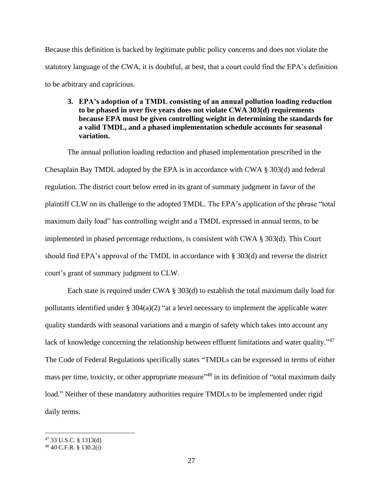Because this definition is backed by legitimate public policy concerns and does not violate the statutory language of the CWA, it is doubtful, at best, that a court could find the EPA's definition to be arbitrary and capricious.

**3. EPA's adoption of a TMDL consisting of an annual pollution loading reduction to be phased in over five years does not violate CWA 303(d) requirements because EPA must be given controlling weight in determining the standards for a valid TMDL, and a phased implementation schedule accounts for seasonal variation.**

The annual pollution loading reduction and phased implementation prescribed in the Chesaplain Bay TMDL adopted by the EPA is in accordance with CWA § 303(d) and federal regulation. The district court below erred in its grant of summary judgment in favor of the plaintiff CLW on its challenge to the adopted TMDL. The EPA's application of the phrase "total maximum daily load" has controlling weight and a TMDL expressed in annual terms, to be implemented in phased percentage reductions, is consistent with CWA § 303(d). This Court should find EPA's approval of the TMDL in accordance with § 303(d) and reverse the district court's grant of summary judgment to CLW.

Each state is required under CWA  $\S 303(d)$  to establish the total maximum daily load for pollutants identified under  $\S 304(a)(2)$  "at a level necessary to implement the applicable water quality standards with seasonal variations and a margin of safety which takes into account any lack of knowledge concerning the relationship between effluent limitations and water quality."<sup>47</sup> The Code of Federal Regulations specifically states "TMDLs can be expressed in terms of either mass per time, toxicity, or other appropriate measure<sup>148</sup> in its definition of "total maximum daily load." Neither of these mandatory authorities require TMDLs to be implemented under rigid daily terms.

<sup>47</sup> 33 U.S.C. § 1313(d)

<sup>48</sup> 40 C.F.R. § 130.2(i)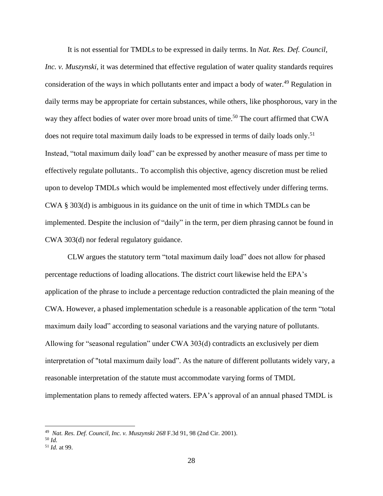It is not essential for TMDLs to be expressed in daily terms. In *Nat. Res. Def. Council, Inc. v. Muszynski*, it was determined that effective regulation of water quality standards requires consideration of the ways in which pollutants enter and impact a body of water.<sup>49</sup> Regulation in daily terms may be appropriate for certain substances, while others, like phosphorous, vary in the way they affect bodies of water over more broad units of time. <sup>50</sup> The court affirmed that CWA does not require total maximum daily loads to be expressed in terms of daily loads only. 51 Instead, "total maximum daily load" can be expressed by another measure of mass per time to effectively regulate pollutants.*.* To accomplish this objective, agency discretion must be relied upon to develop TMDLs which would be implemented most effectively under differing terms. CWA § 303(d) is ambiguous in its guidance on the unit of time in which TMDLs can be implemented. Despite the inclusion of "daily" in the term, per diem phrasing cannot be found in CWA 303(d) nor federal regulatory guidance.

CLW argues the statutory term "total maximum daily load" does not allow for phased percentage reductions of loading allocations. The district court likewise held the EPA's application of the phrase to include a percentage reduction contradicted the plain meaning of the CWA. However, a phased implementation schedule is a reasonable application of the term "total maximum daily load" according to seasonal variations and the varying nature of pollutants. Allowing for "seasonal regulation" under CWA 303(d) contradicts an exclusively per diem interpretation of "total maximum daily load". As the nature of different pollutants widely vary, a reasonable interpretation of the statute must accommodate varying forms of TMDL implementation plans to remedy affected waters. EPA's approval of an annual phased TMDL is

<sup>49</sup> *Nat. Res. Def. Council, Inc. v. Muszynski 268* F.3d 91, 98 (2nd Cir. 2001).

<sup>50</sup> *Id.*

<sup>51</sup> *Id.* at 99.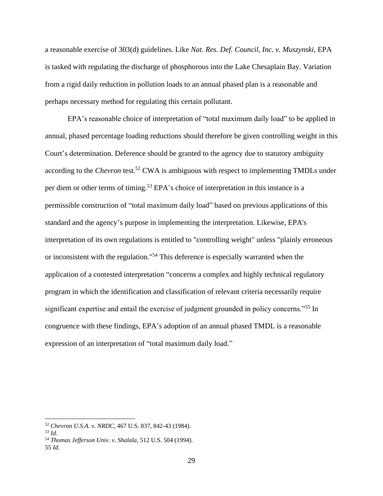a reasonable exercise of 303(d) guidelines. Like *Nat. Res. Def. Council, Inc. v. Muszynski*, EPA is tasked with regulating the discharge of phosphorous into the Lake Chesaplain Bay. Variation from a rigid daily reduction in pollution loads to an annual phased plan is a reasonable and perhaps necessary method for regulating this certain pollutant.

EPA's reasonable choice of interpretation of "total maximum daily load" to be applied in annual, phased percentage loading reductions should therefore be given controlling weight in this Court's determination. Deference should be granted to the agency due to statutory ambiguity according to the *Chevron* test.<sup>52</sup> CWA is ambiguous with respect to implementing TMDLs under per diem or other terms of timing.<sup>53</sup> EPA's choice of interpretation in this instance is a permissible construction of "total maximum daily load" based on previous applications of this standard and the agency's purpose in implementing the interpretation. Likewise, EPA's interpretation of its own regulations is entitled to "controlling weight" unless "plainly erroneous or inconsistent with the regulation."<sup>54</sup> This deference is especially warranted when the application of a contested interpretation "concerns a complex and highly technical regulatory program in which the identification and classification of relevant criteria necessarily require significant expertise and entail the exercise of judgment grounded in policy concerns."<sup>55</sup> In congruence with these findings, EPA's adoption of an annual phased TMDL is a reasonable expression of an interpretation of "total maximum daily load."

<sup>52</sup> *Chevron U.S.A. v. NRDC*, 467 U.S. 837, 842-43 (1984).

<sup>53</sup> *Id.*

<sup>54</sup> *Thomas Jefferson Univ. v. Shalala,* 512 U.S. 504 (1994).

<sup>55</sup> *Id.*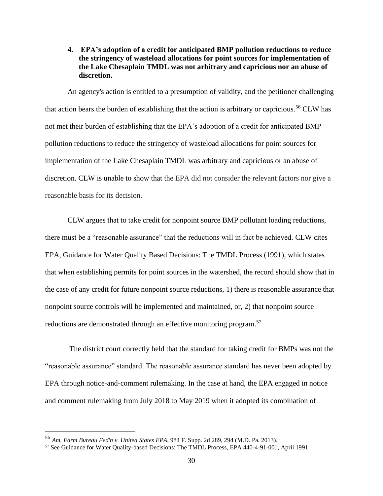**4. EPA's adoption of a credit for anticipated BMP pollution reductions to reduce the stringency of wasteload allocations for point sources for implementation of the Lake Chesaplain TMDL was not arbitrary and capricious nor an abuse of discretion.**

An agency's action is entitled to a presumption of validity, and the petitioner challenging that action bears the burden of establishing that the action is arbitrary or capricious.<sup>56</sup> CLW has not met their burden of establishing that the EPA's adoption of a credit for anticipated BMP pollution reductions to reduce the stringency of wasteload allocations for point sources for implementation of the Lake Chesaplain TMDL was arbitrary and capricious or an abuse of discretion. CLW is unable to show that the EPA did not consider the relevant factors nor give a reasonable basis for its decision.

CLW argues that to take credit for nonpoint source BMP pollutant loading reductions, there must be a "reasonable assurance" that the reductions will in fact be achieved*.* CLW cites EPA, Guidance for Water Quality Based Decisions: The TMDL Process (1991), which states that when establishing permits for point sources in the watershed, the record should show that in the case of any credit for future nonpoint source reductions, 1) there is reasonable assurance that nonpoint source controls will be implemented and maintained, or, 2) that nonpoint source reductions are demonstrated through an effective monitoring program.<sup>57</sup>

The district court correctly held that the standard for taking credit for BMPs was not the "reasonable assurance" standard. The reasonable assurance standard has never been adopted by EPA through notice-and-comment rulemaking. In the case at hand, the EPA engaged in notice and comment rulemaking from July 2018 to May 2019 when it adopted its combination of

<sup>56</sup> *Am. Farm Bureau Fed'n v. United States EPA*, 984 F. Supp. 2d 289, 294 (M.D. Pa. 2013).

<sup>57</sup> See Guidance for Water Quality-based Decisions: The TMDL Process, EPA 440-4-91-001, April 1991.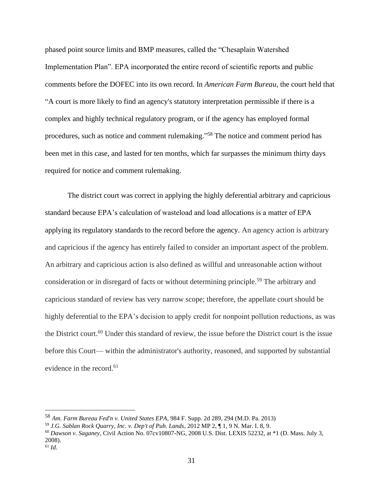phased point source limits and BMP measures, called the "Chesaplain Watershed Implementation Plan". EPA incorporated the entire record of scientific reports and public comments before the DOFEC into its own record. In *American Farm Bureau*, the court held that "A court is more likely to find an agency's statutory interpretation permissible if there is a complex and highly technical regulatory program, or if the agency has employed formal procedures, such as notice and comment rulemaking."<sup>58</sup> The notice and comment period has been met in this case, and lasted for ten months, which far surpasses the minimum thirty days required for notice and comment rulemaking.

The district court was correct in applying the highly deferential arbitrary and capricious standard because EPA's calculation of wasteload and load allocations is a matter of EPA applying its regulatory standards to the record before the agency. An agency action is arbitrary and capricious if the agency has entirely failed to consider an important aspect of the problem. An arbitrary and capricious action is also defined as willful and unreasonable action without consideration or in disregard of facts or without determining principle.<sup>59</sup> The arbitrary and capricious standard of review has very narrow scope; therefore, the appellate court should be highly deferential to the EPA's decision to apply credit for nonpoint pollution reductions, as was the District court.<sup>60</sup> Under this standard of review, the issue before the District court is the issue before this Court— within the administrator's authority, reasoned, and supported by substantial evidence in the record.<sup>61</sup>

<sup>58</sup> *Am. Farm Bureau Fed'n v. United States EPA*, 984 F. Supp. 2d 289, 294 (M.D. Pa. 2013)

<sup>59</sup> *J.G. Sablan Rock Quarry, Inc. v. Dep't of Pub. Lands*, 2012 MP 2, ¶ 1, 9 N. Mar. I. 8, 9.

<sup>60</sup> *Dawson v. Saganey,* Civil Action No. 07cv10807-NG, 2008 U.S. Dist. LEXIS 52232, at \*1 (D. Mass. July 3, 2008).  $61$  *Id.*